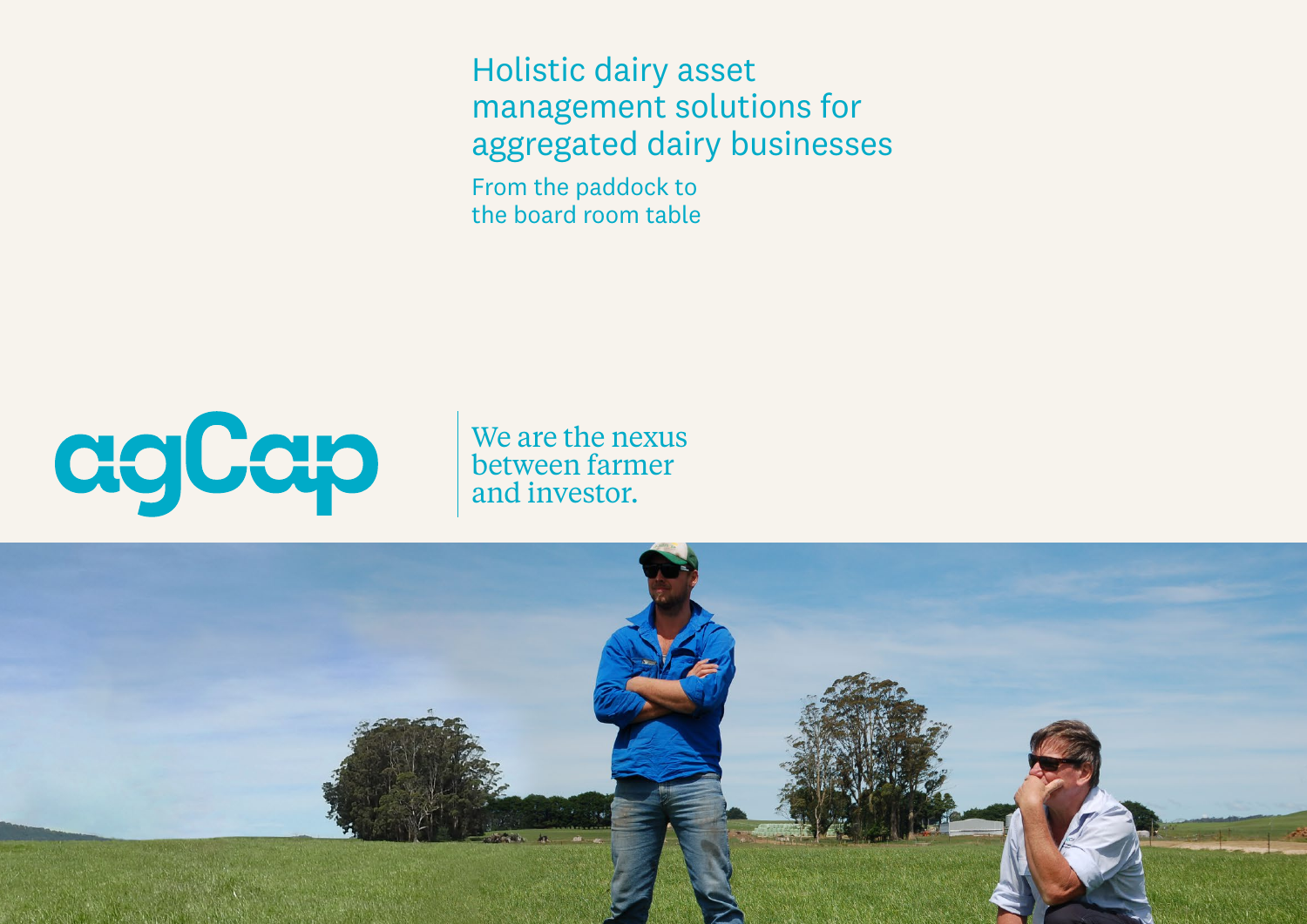Holistic dairy asset management solutions for aggregated dairy businesses

From the paddock to the board room table



We are the nexus between farmer and investor.

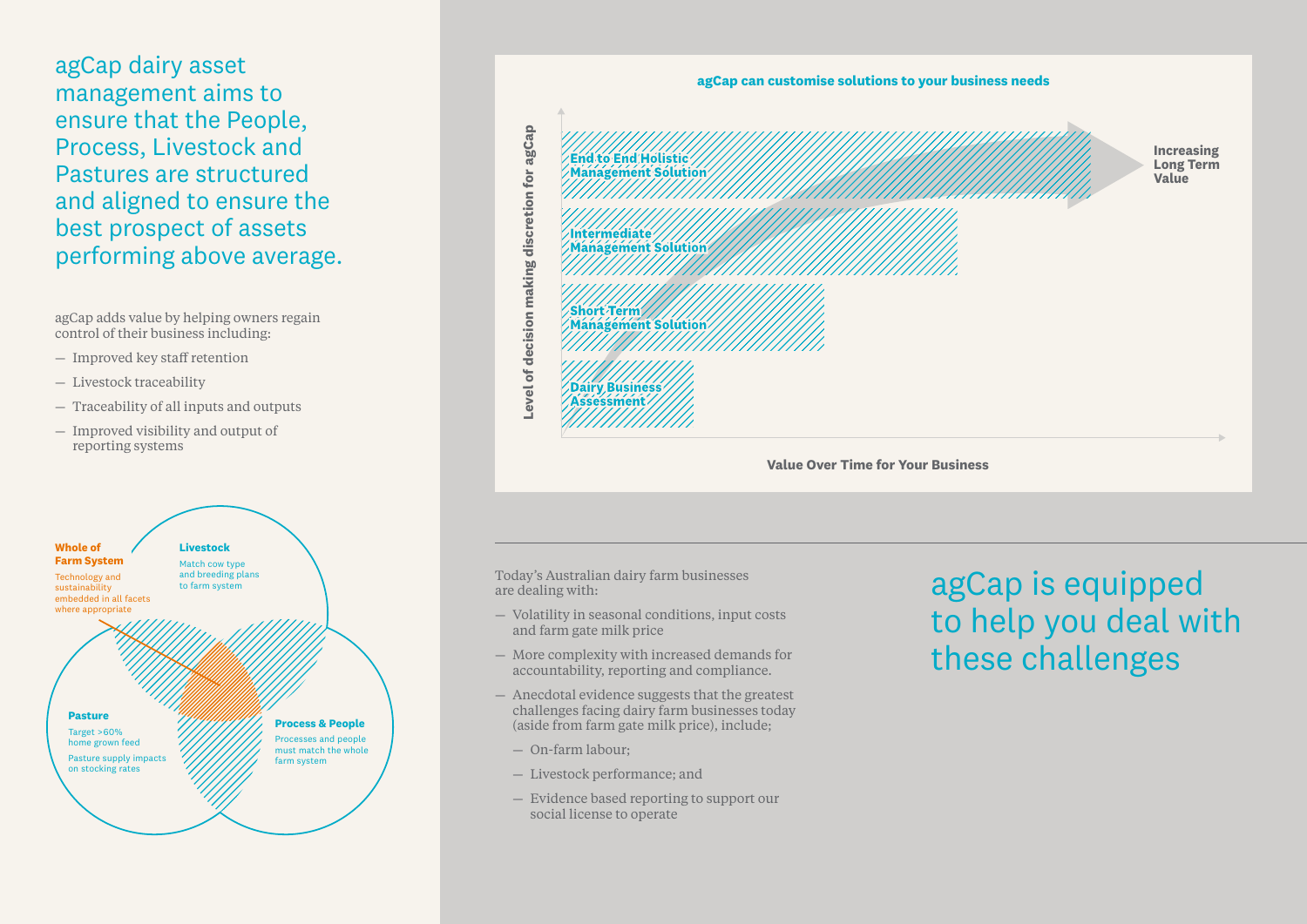agCap dairy asset management aims to ensure that the People, Process, Livestock and Pastures are structured and aligned to ensure the best prospect of assets performing above average.

agCap adds value by helping owners regain control of their business including:

- Improved key staff retention
- Livestock traceability
- Traceability of all inputs and outputs
- Improved visibility and output of reporting systems





**Value Over Time for Your Business**

Today's Australian dairy farm businesses are dealing with:

- Volatility in seasonal conditions, input costs and farm gate milk price
- More complexity with increased demands for accountability, reporting and compliance.
- Anecdotal evidence suggests that the greatest challenges facing dairy farm businesses today (aside from farm gate milk price), include;
	- On-farm labour;
	- Livestock performance; and
	- Evidence based reporting to support our social license to operate

## agCap is equipped to help you deal with these challenges